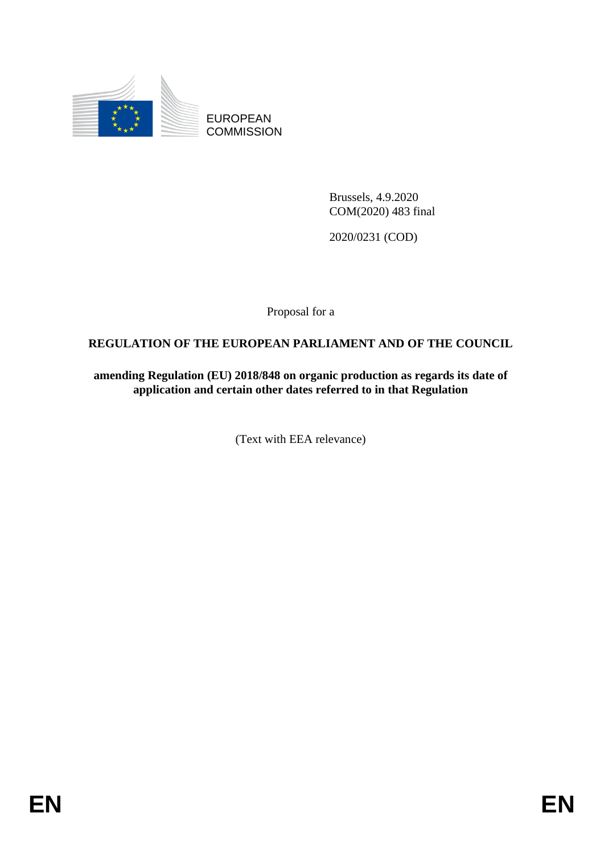

EUROPEAN **COMMISSION** 

> Brussels, 4.9.2020 COM(2020) 483 final

2020/0231 (COD)

Proposal for a

# **REGULATION OF THE EUROPEAN PARLIAMENT AND OF THE COUNCIL**

**amending Regulation (EU) 2018/848 on organic production as regards its date of application and certain other dates referred to in that Regulation**

(Text with EEA relevance)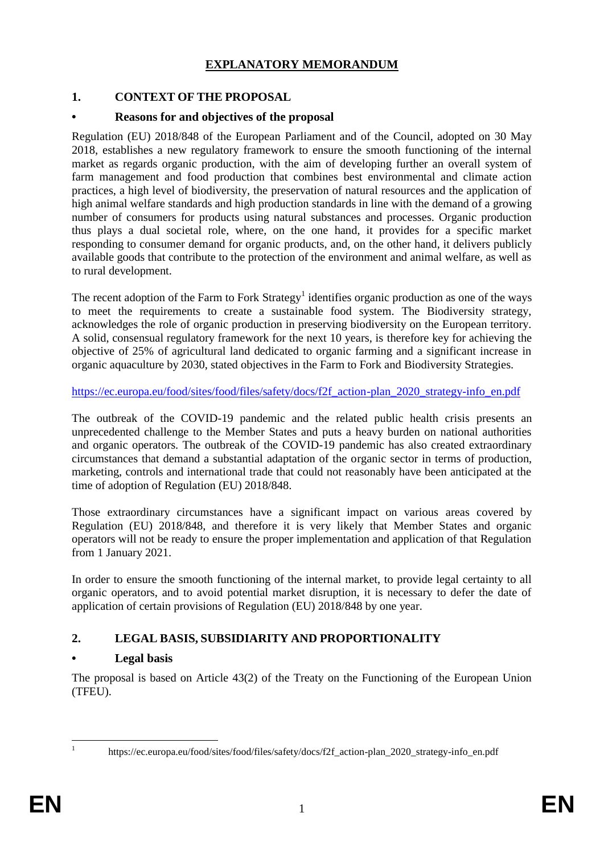## **EXPLANATORY MEMORANDUM**

## **1. CONTEXT OF THE PROPOSAL**

#### **• Reasons for and objectives of the proposal**

Regulation (EU) 2018/848 of the European Parliament and of the Council, adopted on 30 May 2018, establishes a new regulatory framework to ensure the smooth functioning of the internal market as regards organic production, with the aim of developing further an overall system of farm management and food production that combines best environmental and climate action practices, a high level of biodiversity, the preservation of natural resources and the application of high animal welfare standards and high production standards in line with the demand of a growing number of consumers for products using natural substances and processes. Organic production thus plays a dual societal role, where, on the one hand, it provides for a specific market responding to consumer demand for organic products, and, on the other hand, it delivers publicly available goods that contribute to the protection of the environment and animal welfare, as well as to rural development.

The recent adoption of the Farm to Fork Strategy<sup>1</sup> identifies organic production as one of the ways to meet the requirements to create a sustainable food system. The Biodiversity strategy, acknowledges the role of organic production in preserving biodiversity on the European territory. A solid, consensual regulatory framework for the next 10 years, is therefore key for achieving the objective of 25% of agricultural land dedicated to organic farming and a significant increase in organic aquaculture by 2030, stated objectives in the Farm to Fork and Biodiversity Strategies.

[https://ec.europa.eu/food/sites/food/files/safety/docs/f2f\\_action-plan\\_2020\\_strategy-info\\_en.pdf](https://ec.europa.eu/food/sites/food/files/safety/docs/f2f_action-plan_2020_strategy-info_en.pdf)

The outbreak of the COVID-19 pandemic and the related public health crisis presents an unprecedented challenge to the Member States and puts a heavy burden on national authorities and organic operators. The outbreak of the COVID-19 pandemic has also created extraordinary circumstances that demand a substantial adaptation of the organic sector in terms of production, marketing, controls and international trade that could not reasonably have been anticipated at the time of adoption of Regulation (EU) 2018/848.

Those extraordinary circumstances have a significant impact on various areas covered by Regulation (EU) 2018/848, and therefore it is very likely that Member States and organic operators will not be ready to ensure the proper implementation and application of that Regulation from 1 January 2021.

In order to ensure the smooth functioning of the internal market, to provide legal certainty to all organic operators, and to avoid potential market disruption, it is necessary to defer the date of application of certain provisions of Regulation (EU) 2018/848 by one year.

## **2. LEGAL BASIS, SUBSIDIARITY AND PROPORTIONALITY**

## **• Legal basis**

The proposal is based on Article 43(2) of the Treaty on the Functioning of the European Union (TFEU).

<sup>1</sup> 1

https://ec.europa.eu/food/sites/food/files/safety/docs/f2f\_action-plan\_2020\_strategy-info\_en.pdf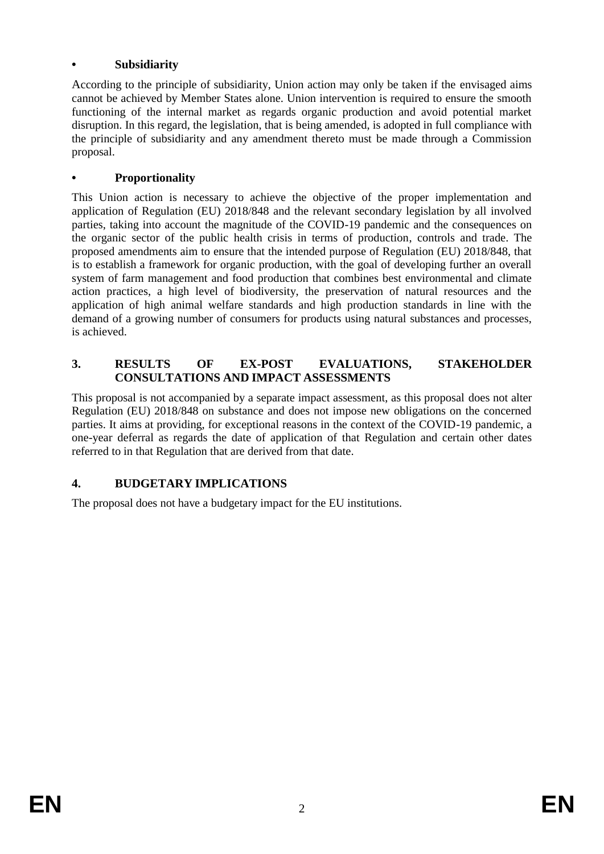### **• Subsidiarity**

According to the principle of subsidiarity, Union action may only be taken if the envisaged aims cannot be achieved by Member States alone. Union intervention is required to ensure the smooth functioning of the internal market as regards organic production and avoid potential market disruption. In this regard, the legislation, that is being amended, is adopted in full compliance with the principle of subsidiarity and any amendment thereto must be made through a Commission proposal.

### **• Proportionality**

This Union action is necessary to achieve the objective of the proper implementation and application of Regulation (EU) 2018/848 and the relevant secondary legislation by all involved parties, taking into account the magnitude of the COVID-19 pandemic and the consequences on the organic sector of the public health crisis in terms of production, controls and trade. The proposed amendments aim to ensure that the intended purpose of Regulation (EU) 2018/848, that is to establish a framework for organic production, with the goal of developing further an overall system of farm management and food production that combines best environmental and climate action practices, a high level of biodiversity, the preservation of natural resources and the application of high animal welfare standards and high production standards in line with the demand of a growing number of consumers for products using natural substances and processes, is achieved.

### **3. RESULTS OF EX-POST EVALUATIONS, STAKEHOLDER CONSULTATIONS AND IMPACT ASSESSMENTS**

This proposal is not accompanied by a separate impact assessment, as this proposal does not alter Regulation (EU) 2018/848 on substance and does not impose new obligations on the concerned parties. It aims at providing, for exceptional reasons in the context of the COVID-19 pandemic, a one-year deferral as regards the date of application of that Regulation and certain other dates referred to in that Regulation that are derived from that date.

## **4. BUDGETARY IMPLICATIONS**

The proposal does not have a budgetary impact for the EU institutions.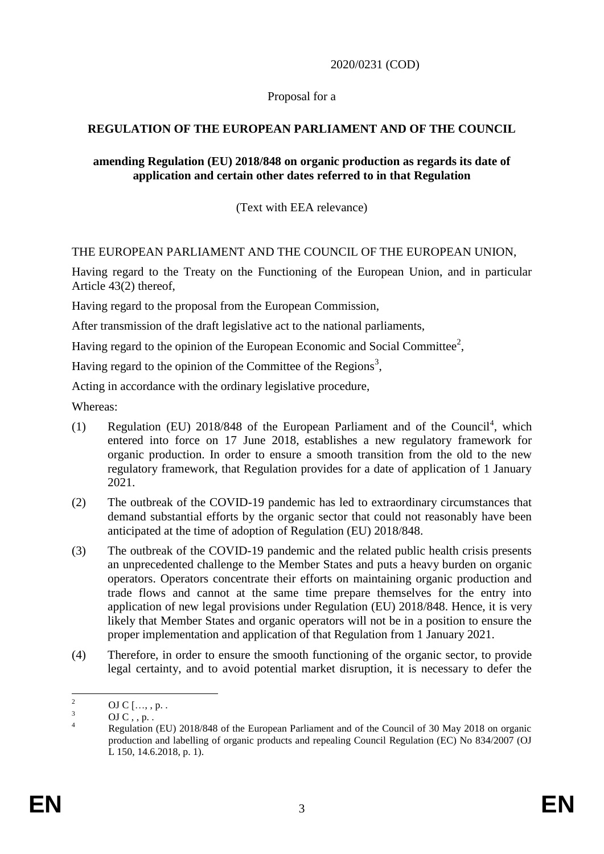### 2020/0231 (COD)

#### Proposal for a

### **REGULATION OF THE EUROPEAN PARLIAMENT AND OF THE COUNCIL**

#### **amending Regulation (EU) 2018/848 on organic production as regards its date of application and certain other dates referred to in that Regulation**

(Text with EEA relevance)

#### THE EUROPEAN PARLIAMENT AND THE COUNCIL OF THE EUROPEAN UNION,

Having regard to the Treaty on the Functioning of the European Union, and in particular Article 43(2) thereof,

Having regard to the proposal from the European Commission,

After transmission of the draft legislative act to the national parliaments,

Having regard to the opinion of the European Economic and Social Committee<sup>2</sup>,

Having regard to the opinion of the Committee of the Regions<sup>3</sup>,

Acting in accordance with the ordinary legislative procedure,

Whereas:

- (1) Regulation (EU) 2018/848 of the European Parliament and of the Council<sup>4</sup>, which entered into force on 17 June 2018, establishes a new regulatory framework for organic production. In order to ensure a smooth transition from the old to the new regulatory framework, that Regulation provides for a date of application of 1 January 2021.
- (2) The outbreak of the COVID-19 pandemic has led to extraordinary circumstances that demand substantial efforts by the organic sector that could not reasonably have been anticipated at the time of adoption of Regulation (EU) 2018/848.
- (3) The outbreak of the COVID-19 pandemic and the related public health crisis presents an unprecedented challenge to the Member States and puts a heavy burden on organic operators. Operators concentrate their efforts on maintaining organic production and trade flows and cannot at the same time prepare themselves for the entry into application of new legal provisions under Regulation (EU) 2018/848. Hence, it is very likely that Member States and organic operators will not be in a position to ensure the proper implementation and application of that Regulation from 1 January 2021.
- (4) Therefore, in order to ensure the smooth functioning of the organic sector, to provide legal certainty, and to avoid potential market disruption, it is necessary to defer the

 $\mathcal{L}$ <sup>2</sup> OJ C […, , p. .

 $\frac{3}{4}$  OJ C, , p. .

<sup>4</sup> Regulation (EU) 2018/848 of the European Parliament and of the Council of 30 May 2018 on organic production and labelling of organic products and repealing Council Regulation (EC) No 834/2007 (OJ L 150, 14.6.2018, p. 1).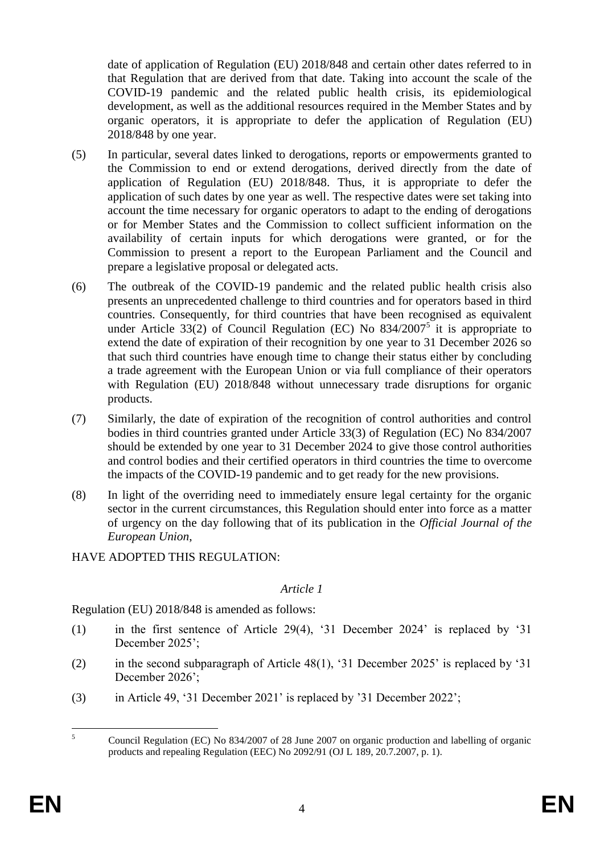date of application of Regulation (EU) 2018/848 and certain other dates referred to in that Regulation that are derived from that date. Taking into account the scale of the COVID-19 pandemic and the related public health crisis, its epidemiological development, as well as the additional resources required in the Member States and by organic operators, it is appropriate to defer the application of Regulation (EU) 2018/848 by one year.

- (5) In particular, several dates linked to derogations, reports or empowerments granted to the Commission to end or extend derogations, derived directly from the date of application of Regulation (EU) 2018/848. Thus, it is appropriate to defer the application of such dates by one year as well. The respective dates were set taking into account the time necessary for organic operators to adapt to the ending of derogations or for Member States and the Commission to collect sufficient information on the availability of certain inputs for which derogations were granted, or for the Commission to present a report to the European Parliament and the Council and prepare a legislative proposal or delegated acts.
- (6) The outbreak of the COVID-19 pandemic and the related public health crisis also presents an unprecedented challenge to third countries and for operators based in third countries. Consequently, for third countries that have been recognised as equivalent under Article 33(2) of Council Regulation (EC) No  $834/2007^5$  it is appropriate to extend the date of expiration of their recognition by one year to 31 December 2026 so that such third countries have enough time to change their status either by concluding a trade agreement with the European Union or via full compliance of their operators with Regulation (EU) 2018/848 without unnecessary trade disruptions for organic products.
- (7) Similarly, the date of expiration of the recognition of control authorities and control bodies in third countries granted under Article 33(3) of Regulation (EC) No 834/2007 should be extended by one year to 31 December 2024 to give those control authorities and control bodies and their certified operators in third countries the time to overcome the impacts of the COVID-19 pandemic and to get ready for the new provisions.
- (8) In light of the overriding need to immediately ensure legal certainty for the organic sector in the current circumstances, this Regulation should enter into force as a matter of urgency on the day following that of its publication in the *Official Journal of the European Union*,

HAVE ADOPTED THIS REGULATION:

#### *Article 1*

Regulation (EU) 2018/848 is amended as follows:

- (1) in the first sentence of Article 29(4), '31 December 2024' is replaced by '31 December 2025';
- (2) in the second subparagraph of Article 48(1), '31 December 2025' is replaced by '31 December 2026';
- (3) in Article 49, '31 December 2021' is replaced by '31 December 2022';

 $\overline{5}$ <sup>5</sup> Council Regulation (EC) No 834/2007 of 28 June 2007 on organic production and labelling of organic products and repealing Regulation (EEC) No 2092/91 (OJ L 189, 20.7.2007, p. 1).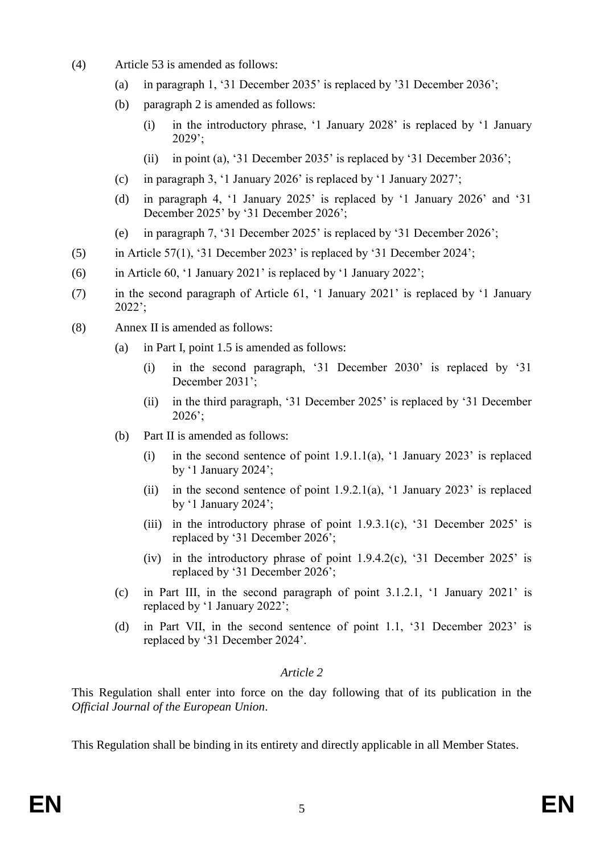- (4) Article 53 is amended as follows:
	- (a) in paragraph 1, '31 December 2035' is replaced by '31 December 2036';
	- (b) paragraph 2 is amended as follows:
		- (i) in the introductory phrase, '1 January 2028' is replaced by '1 January 2029';
		- (ii) in point (a), '31 December 2035' is replaced by '31 December 2036';
	- (c) in paragraph 3, '1 January 2026' is replaced by '1 January 2027';
	- (d) in paragraph 4, '1 January 2025' is replaced by '1 January 2026' and '31 December 2025' by '31 December 2026';
	- (e) in paragraph 7, '31 December 2025' is replaced by '31 December 2026';
- (5) in Article 57(1), '31 December 2023' is replaced by '31 December 2024';
- (6) in Article 60, '1 January 2021' is replaced by '1 January 2022';
- (7) in the second paragraph of Article 61, '1 January 2021' is replaced by '1 January  $2022$ <sup>\*</sup>
- (8) Annex II is amended as follows:
	- (a) in Part I, point 1.5 is amended as follows:
		- (i) in the second paragraph, '31 December 2030' is replaced by '31 December 2031':
		- (ii) in the third paragraph, '31 December 2025' is replaced by '31 December 2026';
	- (b) Part II is amended as follows:
		- (i) in the second sentence of point  $1.9.1.1(a)$ , '1 January 2023' is replaced by '1 January 2024';
		- (ii) in the second sentence of point  $1.9.2.1(a)$ , '1 January 2023' is replaced by '1 January 2024';
		- (iii) in the introductory phrase of point  $1.9.3.1(c)$ , '31 December 2025' is replaced by '31 December 2026';
		- (iv) in the introductory phrase of point  $1.9.4.2(c)$ , '31 December 2025' is replaced by '31 December 2026';
	- (c) in Part III, in the second paragraph of point 3.1.2.1, '1 January 2021' is replaced by '1 January 2022';
	- (d) in Part VII, in the second sentence of point 1.1, '31 December 2023' is replaced by '31 December 2024'.

# *Article 2*

This Regulation shall enter into force on the day following that of its publication in the *Official Journal of the European Union*.

This Regulation shall be binding in its entirety and directly applicable in all Member States.